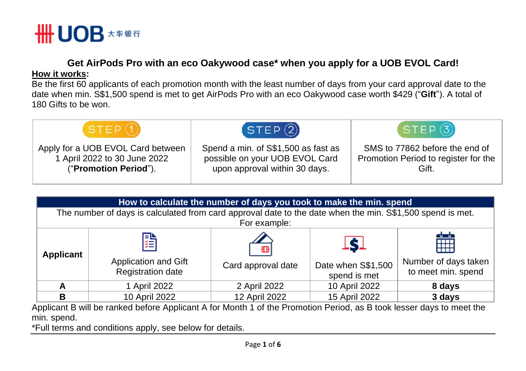

## **Get AirPods Pro with an eco Oakywood case\* when you apply for a UOB EVOL Card! How it works:**

Be the first 60 applicants of each promotion month with the least number of days from your card approval date to the date when min. S\$1,500 spend is met to get AirPods Pro with an eco Oakywood case worth \$429 ("**Gift**"). A total of 180 Gifts to be won.



| How to calculate the number of days you took to make the min. spend                                       |                                                |                                    |                                                  |                                                  |  |  |
|-----------------------------------------------------------------------------------------------------------|------------------------------------------------|------------------------------------|--------------------------------------------------|--------------------------------------------------|--|--|
| The number of days is calculated from card approval date to the date when the min. S\$1,500 spend is met. |                                                |                                    |                                                  |                                                  |  |  |
| For example:                                                                                              |                                                |                                    |                                                  |                                                  |  |  |
| <b>Applicant</b>                                                                                          | 建<br>Application and Gift<br>Registration date | $\mathbf{f}$<br>Card approval date | <u>isi</u><br>Date when S\$1,500<br>spend is met | HH<br>Number of days taken<br>to meet min. spend |  |  |
| A                                                                                                         | 1 April 2022                                   | 2 April 2022                       | 10 April 2022                                    | 8 days                                           |  |  |
| в                                                                                                         | 10 April 2022                                  | 12 April 2022                      | 15 April 2022                                    | 3 days                                           |  |  |

Applicant B will be ranked before Applicant A for Month 1 of the Promotion Period, as B took lesser days to meet the min. spend.

\*Full terms and conditions apply, see below for details.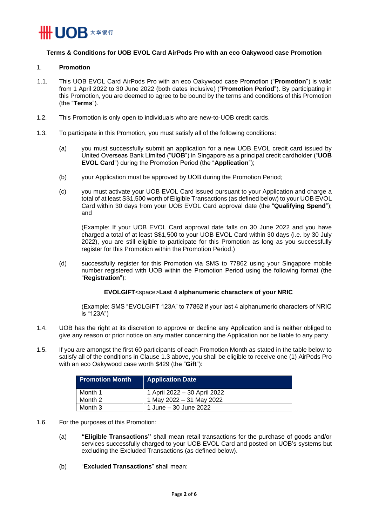

### **Terms & Conditions for UOB EVOL Card AirPods Pro with an eco Oakywood case Promotion**

#### 1. **Promotion**

- 1.1. This UOB EVOL Card AirPods Pro with an eco Oakywood case Promotion ("**Promotion**") is valid from 1 April 2022 to 30 June 2022 (both dates inclusive) ("**Promotion Period**"). By participating in this Promotion, you are deemed to agree to be bound by the terms and conditions of this Promotion (the "**Terms**").
- 1.2. This Promotion is only open to individuals who are new-to-UOB credit cards.
- <span id="page-1-0"></span>1.3. To participate in this Promotion, you must satisfy all of the following conditions:
	- (a) you must successfully submit an application for a new UOB EVOL credit card issued by United Overseas Bank Limited ("**UOB**") in Singapore as a principal credit cardholder ("**UOB EVOL Card**") during the Promotion Period (the "**Application**");
	- (b) your Application must be approved by UOB during the Promotion Period;
	- (c) you must activate your UOB EVOL Card issued pursuant to your Application and charge a total of at least S\$1,500 worth of Eligible Transactions (as defined below) to your UOB EVOL Card within 30 days from your UOB EVOL Card approval date (the "**Qualifying Spend**"); and

(Example: If your UOB EVOL Card approval date falls on 30 June 2022 and you have charged a total of at least S\$1,500 to your UOB EVOL Card within 30 days (i.e. by 30 July 2022), you are still eligible to participate for this Promotion as long as you successfully register for this Promotion within the Promotion Period.)

(d) successfully register for this Promotion via SMS to 77862 using your Singapore mobile number registered with UOB within the Promotion Period using the following format (the "**Registration**"):

## **EVOLGIFT**<space>**Last 4 alphanumeric characters of your NRIC**

(Example: SMS "EVOLGIFT 123A" to 77862 if your last 4 alphanumeric characters of NRIC is "123A")

- 1.4. UOB has the right at its discretion to approve or decline any Application and is neither obliged to give any reason or prior notice on any matter concerning the Application nor be liable to any party.
- <span id="page-1-1"></span>1.5. If you are amongst the first 60 participants of each Promotion Month as stated in the table below to satisfy all of the conditions in Clause [1.3 above,](#page-1-0) you shall be eligible to receive one (1) AirPods Pro with an eco Oakywood case worth \$429 (the "**Gift**"):

| <b>Promotion Month</b> | <b>Application Date</b>      |
|------------------------|------------------------------|
| Month 1                | 1 April 2022 – 30 April 2022 |
| Month 2                | 1 May 2022 – 31 May 2022     |
| Month 3                | 1 June – 30 June 2022        |

- 1.6. For the purposes of this Promotion:
	- (a) **"Eligible Transactions"** shall mean retail transactions for the purchase of goods and/or services successfully charged to your UOB EVOL Card and posted on UOB's systems but excluding the Excluded Transactions (as defined below).
	- (b) "**Excluded Transactions**" shall mean: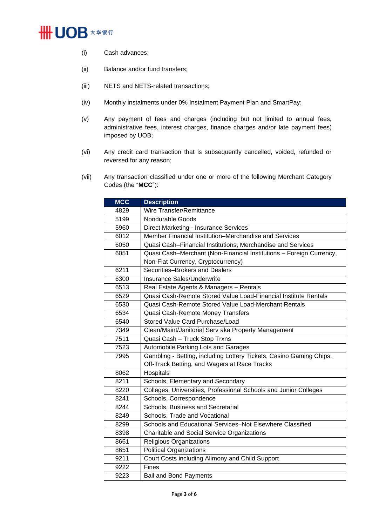# **\ UOB ★ # # #**

- (i) Cash advances;
- (ii) Balance and/or fund transfers;
- (iii) NETS and NETS-related transactions;
- (iv) Monthly instalments under 0% Instalment Payment Plan and SmartPay;
- (v) Any payment of fees and charges (including but not limited to annual fees, administrative fees, interest charges, finance charges and/or late payment fees) imposed by UOB;
- (vi) Any credit card transaction that is subsequently cancelled, voided, refunded or reversed for any reason;
- (vii) Any transaction classified under one or more of the following Merchant Category Codes (the "**MCC**"):

| <b>MCC</b> | <b>Description</b>                                                  |  |
|------------|---------------------------------------------------------------------|--|
| 4829       | Wire Transfer/Remittance                                            |  |
| 5199       | Nondurable Goods                                                    |  |
| 5960       | Direct Marketing - Insurance Services                               |  |
| 6012       | Member Financial Institution–Merchandise and Services               |  |
| 6050       | Quasi Cash-Financial Institutions, Merchandise and Services         |  |
| 6051       | Quasi Cash-Merchant (Non-Financial Institutions - Foreign Currency, |  |
|            | Non-Fiat Currency, Cryptocurrency)                                  |  |
| 6211       | Securities-Brokers and Dealers                                      |  |
| 6300       | <b>Insurance Sales/Underwrite</b>                                   |  |
| 6513       | Real Estate Agents & Managers - Rentals                             |  |
| 6529       | Quasi Cash-Remote Stored Value Load-Financial Institute Rentals     |  |
| 6530       | Quasi Cash-Remote Stored Value Load-Merchant Rentals                |  |
| 6534       | Quasi Cash-Remote Money Transfers                                   |  |
| 6540       | Stored Value Card Purchase/Load                                     |  |
| 7349       | Clean/Maint/Janitorial Serv aka Property Management                 |  |
| 7511       | Quasi Cash - Truck Stop Trxns                                       |  |
| 7523       | Automobile Parking Lots and Garages                                 |  |
| 7995       | Gambling - Betting, including Lottery Tickets, Casino Gaming Chips, |  |
|            | Off-Track Betting, and Wagers at Race Tracks                        |  |
| 8062       | Hospitals                                                           |  |
| 8211       | Schools, Elementary and Secondary                                   |  |
| 8220       | Colleges, Universities, Professional Schools and Junior Colleges    |  |
| 8241       | Schools, Correspondence                                             |  |
| 8244       | Schools, Business and Secretarial                                   |  |
| 8249       | Schools, Trade and Vocational                                       |  |
| 8299       | Schools and Educational Services-Not Elsewhere Classified           |  |
| 8398       | Charitable and Social Service Organizations                         |  |
| 8661       | <b>Religious Organizations</b>                                      |  |
| 8651       | <b>Political Organizations</b>                                      |  |
| 9211       | Court Costs including Alimony and Child Support                     |  |
| 9222       | Fines                                                               |  |
| 9223       | <b>Bail and Bond Payments</b>                                       |  |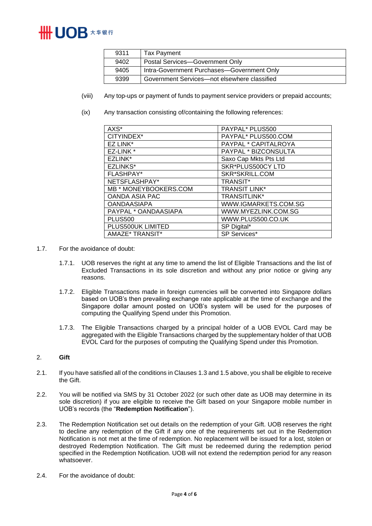

| 9311 | Tax Payment                                  |
|------|----------------------------------------------|
| 9402 | Postal Services-Government Only              |
| 9405 | Intra-Government Purchases-Government Only   |
| 9399 | Government Services—not elsewhere classified |

- (viii) Any top-ups or payment of funds to payment service providers or prepaid accounts;
- (ix) Any transaction consisting of/containing the following references:

| AXS*                  | PAYPAL* PLUS500       |
|-----------------------|-----------------------|
| CITYINDEX*            | PAYPAL* PLUS500.COM   |
| EZ LINK*              | PAYPAL * CAPITALROYA  |
| EZ-LINK *             | PAYPAL * BIZCONSULTA  |
| EZLINK*               | Saxo Cap Mkts Pts Ltd |
| <b>EZLINKS*</b>       | SKR*PLUS500CY LTD     |
| <b>FLASHPAY*</b>      | SKR*SKRILL.COM        |
| NETSFLASHPAY*         | <b>TRANSIT*</b>       |
| MB * MONEYBOOKERS.COM | TRANSIT LINK*         |
| <b>OANDA ASIA PAC</b> | <b>TRANSITLINK*</b>   |
| <b>OANDAASIAPA</b>    | WWW.IGMARKETS.COM.SG  |
| PAYPAL * OANDAASIAPA  | WWW.MYEZLINK.COM.SG   |
| <b>PLUS500</b>        | WWW.PLUS500.CO.UK     |
| PLUS500UK LIMITED     | SP Digital*           |
| AMAZE* TRANSIT*       | <b>SP Services*</b>   |

- 1.7. For the avoidance of doubt:
	- 1.7.1. UOB reserves the right at any time to amend the list of Eligible Transactions and the list of Excluded Transactions in its sole discretion and without any prior notice or giving any reasons.
	- 1.7.2. Eligible Transactions made in foreign currencies will be converted into Singapore dollars based on UOB's then prevailing exchange rate applicable at the time of exchange and the Singapore dollar amount posted on UOB's system will be used for the purposes of computing the Qualifying Spend under this Promotion.
	- 1.7.3. The Eligible Transactions charged by a principal holder of a UOB EVOL Card may be aggregated with the Eligible Transactions charged by the supplementary holder of that UOB EVOL Card for the purposes of computing the Qualifying Spend under this Promotion.

#### 2. **Gift**

- 2.1. If you have satisfied all of the conditions in Clause[s 1.3](#page-1-0) an[d 1.5 above,](#page-1-1) you shall be eligible to receive the Gift.
- 2.2. You will be notified via SMS by 31 October 2022 (or such other date as UOB may determine in its sole discretion) if you are eligible to receive the Gift based on your Singapore mobile number in UOB's records (the "**Redemption Notification**").
- 2.3. The Redemption Notification set out details on the redemption of your Gift. UOB reserves the right to decline any redemption of the Gift if any one of the requirements set out in the Redemption Notification is not met at the time of redemption. No replacement will be issued for a lost, stolen or destroyed Redemption Notification. The Gift must be redeemed during the redemption period specified in the Redemption Notification. UOB will not extend the redemption period for any reason whatsoever.
- 2.4. For the avoidance of doubt: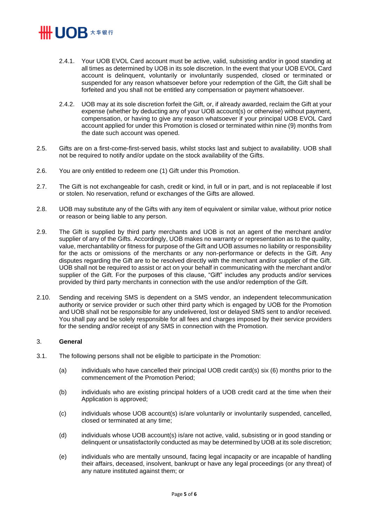# 

- 2.4.1. Your UOB EVOL Card account must be active, valid, subsisting and/or in good standing at all times as determined by UOB in its sole discretion. In the event that your UOB EVOL Card account is delinquent, voluntarily or involuntarily suspended, closed or terminated or suspended for any reason whatsoever before your redemption of the Gift, the Gift shall be forfeited and you shall not be entitled any compensation or payment whatsoever.
- 2.4.2. UOB may at its sole discretion forfeit the Gift, or, if already awarded, reclaim the Gift at your expense (whether by deducting any of your UOB account(s) or otherwise) without payment, compensation, or having to give any reason whatsoever if your principal UOB EVOL Card account applied for under this Promotion is closed or terminated within nine (9) months from the date such account was opened.
- 2.5. Gifts are on a first-come-first-served basis, whilst stocks last and subject to availability. UOB shall not be required to notify and/or update on the stock availability of the Gifts.
- 2.6. You are only entitled to redeem one (1) Gift under this Promotion.
- 2.7. The Gift is not exchangeable for cash, credit or kind, in full or in part, and is not replaceable if lost or stolen. No reservation, refund or exchanges of the Gifts are allowed.
- 2.8. UOB may substitute any of the Gifts with any item of equivalent or similar value, without prior notice or reason or being liable to any person.
- 2.9. The Gift is supplied by third party merchants and UOB is not an agent of the merchant and/or supplier of any of the Gifts. Accordingly, UOB makes no warranty or representation as to the quality, value, merchantability or fitness for purpose of the Gift and UOB assumes no liability or responsibility for the acts or omissions of the merchants or any non-performance or defects in the Gift. Any disputes regarding the Gift are to be resolved directly with the merchant and/or supplier of the Gift. UOB shall not be required to assist or act on your behalf in communicating with the merchant and/or supplier of the Gift. For the purposes of this clause, "Gift" includes any products and/or services provided by third party merchants in connection with the use and/or redemption of the Gift.
- 2.10. Sending and receiving SMS is dependent on a SMS vendor, an independent telecommunication authority or service provider or such other third party which is engaged by UOB for the Promotion and UOB shall not be responsible for any undelivered, lost or delayed SMS sent to and/or received. You shall pay and be solely responsible for all fees and charges imposed by their service providers for the sending and/or receipt of any SMS in connection with the Promotion.

## 3. **General**

- 3.1. The following persons shall not be eligible to participate in the Promotion:
	- (a) individuals who have cancelled their principal UOB credit card(s) six (6) months prior to the commencement of the Promotion Period;
	- (b) individuals who are existing principal holders of a UOB credit card at the time when their Application is approved;
	- (c) individuals whose UOB account(s) is/are voluntarily or involuntarily suspended, cancelled, closed or terminated at any time;
	- (d) individuals whose UOB account(s) is/are not active, valid, subsisting or in good standing or delinquent or unsatisfactorily conducted as may be determined by UOB at its sole discretion;
	- (e) individuals who are mentally unsound, facing legal incapacity or are incapable of handling their affairs, deceased, insolvent, bankrupt or have any legal proceedings (or any threat) of any nature instituted against them; or